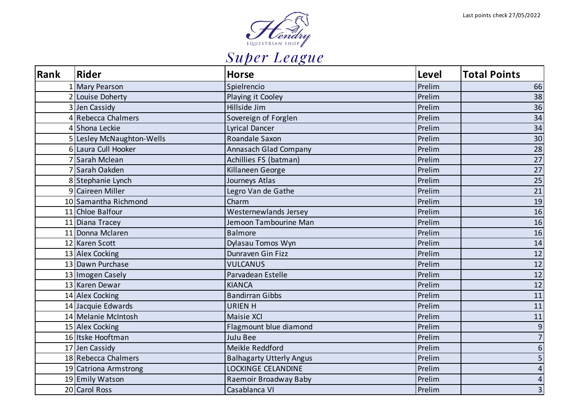

| Rank | Rider                     | <b>Horse</b>                    | Level  | <b>Total Points</b>     |
|------|---------------------------|---------------------------------|--------|-------------------------|
|      | 1 Mary Pearson            | Spielrencio                     | Prelim | 66                      |
|      | 2 Louise Doherty          | Playing it Cooley               | Prelim | 38                      |
|      | 3 Jen Cassidy             | Hillside Jim                    | Prelim | 36                      |
|      | 4 Rebecca Chalmers        | Sovereign of Forglen            | Prelim | 34                      |
|      | 4 Shona Leckie            | <b>Lyrical Dancer</b>           | Prelim | 34                      |
|      | 5 Lesley McNaughton-Wells | Roandale Saxon                  | Prelim | $30\,$                  |
|      | 6 Laura Cull Hooker       | <b>Annasach Glad Company</b>    | Prelim | 28                      |
|      | 7 Sarah Mclean            | Achillies FS (batman)           | Prelim | 27                      |
|      | 7 Sarah Oakden            | Killaneen George                | Prelim | 27                      |
|      | 8 Stephanie Lynch         | Journeys Atlas                  | Prelim | 25                      |
|      | 9 Caireen Miller          | Legro Van de Gathe              | Prelim | 21                      |
|      | 10 Samantha Richmond      | Charm                           | Prelim | 19                      |
|      | 11 Chloe Balfour          | Westernewlands Jersey           | Prelim | 16                      |
|      | 11 Diana Tracey           | Jemoon Tambourine Man           | Prelim | 16                      |
|      | 11 Donna Mclaren          | Balmore                         | Prelim | 16                      |
|      | 12 Karen Scott            | Dylasau Tomos Wyn               | Prelim | 14                      |
|      | 13 Alex Cocking           | Dunraven Gin Fizz               | Prelim | $12\,$                  |
|      | 13 Dawn Purchase          | <b>VULCANUS</b>                 | Prelim | 12                      |
|      | 13 Imogen Casely          | Parvadean Estelle               | Prelim | 12                      |
|      | 13 Karen Dewar            | <b>KIANCA</b>                   | Prelim | 12                      |
|      | 14 Alex Cocking           | <b>Bandirran Gibbs</b>          | Prelim | 11                      |
|      | 14 Jacquie Edwards        | <b>URIEN H</b>                  | Prelim | 11                      |
|      | 14 Melanie McIntosh       | <b>Maisie XCI</b>               | Prelim | 11                      |
|      | 15 Alex Cocking           | Flagmount blue diamond          | Prelim | $\boldsymbol{9}$        |
|      | 16 Itske Hooftman         | <b>JuJu Bee</b>                 | Prelim | $\overline{7}$          |
|      | 17 Jen Cassidy            | Meikle Reddford                 | Prelim | $\boldsymbol{6}$        |
|      | 18 Rebecca Chalmers       | <b>Balhagarty Utterly Angus</b> | Prelim | $\overline{5}$          |
|      | 19 Catriona Armstrong     | LOCKINGE CELANDINE              | Prelim | $\overline{\mathbf{4}}$ |
|      | 19 Emily Watson           | Raemoir Broadway Baby           | Prelim | $\overline{\mathbf{4}}$ |
|      | 20 Carol Ross             | Casablanca VI                   | Prelim | $\overline{\mathbf{3}}$ |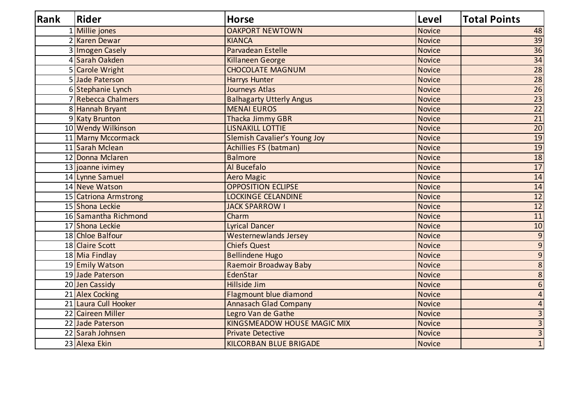| Rank | <b>Rider</b>          | <b>Horse</b>                       | <b>Level</b>  | <b>Total Points</b>     |
|------|-----------------------|------------------------------------|---------------|-------------------------|
|      | 1 Millie jones        | <b>OAKPORT NEWTOWN</b>             | <b>Novice</b> | 48                      |
|      | 2 Karen Dewar         | <b>KIANCA</b>                      | <b>Novice</b> | 39                      |
|      | 3 Imogen Casely       | Parvadean Estelle                  | Novice        | $\overline{36}$         |
|      | 4 Sarah Oakden        | Killaneen George                   | <b>Novice</b> | 34                      |
|      | 5 Carole Wright       | <b>CHOCOLATE MAGNUM</b>            | <b>Novice</b> | 28                      |
|      | 5 Jade Paterson       | Harrys Hunter                      | <b>Novice</b> | $\overline{28}$         |
|      | 6 Stephanie Lynch     | Journeys Atlas                     | Novice        | 26                      |
|      | 7 Rebecca Chalmers    | <b>Balhagarty Utterly Angus</b>    | Novice        | $\overline{23}$         |
|      | 8 Hannah Bryant       | <b>MENAI EUROS</b>                 | <b>Novice</b> | 22                      |
|      | 9 Katy Brunton        | Thacka Jimmy GBR                   | Novice        | $\overline{21}$         |
|      | 10 Wendy Wilkinson    | <b>LISNAKILL LOTTIE</b>            | <b>Novice</b> | $\overline{20}$         |
|      | 11 Marny Mccormack    | Slemish Cavalier's Young Joy       | <b>Novice</b> | 19                      |
|      | 11 Sarah Mclean       | Achillies FS (batman)              | Novice        | 19                      |
|      | 12 Donna Mclaren      | <b>Balmore</b>                     | Novice        | 18                      |
|      | 13 joanne ivimey      | Al Bucefalo                        | Novice        | 17                      |
|      | 14 Lynne Samuel       | <b>Aero Magic</b>                  | Novice        | 14                      |
|      | 14 Neve Watson        | <b>OPPOSITION ECLIPSE</b>          | <b>Novice</b> | 14                      |
|      | 15 Catriona Armstrong | <b>LOCKINGE CELANDINE</b>          | Novice        | 12                      |
|      | 15 Shona Leckie       | <b>JACK SPARROW I</b>              | <b>Novice</b> | 12                      |
|      | 16 Samantha Richmond  | Charm                              | Novice        | 11                      |
|      | 17 Shona Leckie       | <b>Lyrical Dancer</b>              | Novice        | $10\,$                  |
|      | 18 Chloe Balfour      | <b>Westernewlands Jersey</b>       | Novice        | $\overline{9}$          |
|      | 18 Claire Scott       | <b>Chiefs Quest</b>                | Novice        | $\overline{9}$          |
|      | 18 Mia Findlay        | <b>Bellindene Hugo</b>             | <b>Novice</b> | $\overline{9}$          |
|      | 19 Emily Watson       | Raemoir Broadway Baby              | Novice        | $\overline{8}$          |
|      | 19 Jade Paterson      | EdenStar                           | <b>Novice</b> | $\overline{8}$          |
|      | 20 Jen Cassidy        | Hillside Jim                       | Novice        | $\overline{6}$          |
|      | 21 Alex Cocking       | Flagmount blue diamond             | Novice        | $\overline{4}$          |
|      | 21 Laura Cull Hooker  | <b>Annasach Glad Company</b>       | <b>Novice</b> | $\overline{\mathbf{4}}$ |
|      | 22 Caireen Miller     | Legro Van de Gathe                 | <b>Novice</b> | $\overline{3}$          |
|      | 22 Jade Paterson      | <b>KINGSMEADOW HOUSE MAGIC MIX</b> | <b>Novice</b> | $\overline{3}$          |
|      | 22 Sarah Johnsen      | <b>Private Detective</b>           | <b>Novice</b> | $\overline{3}$          |
|      | 23 Alexa Ekin         | <b>KILCORBAN BLUE BRIGADE</b>      | Novice        | $\overline{1}$          |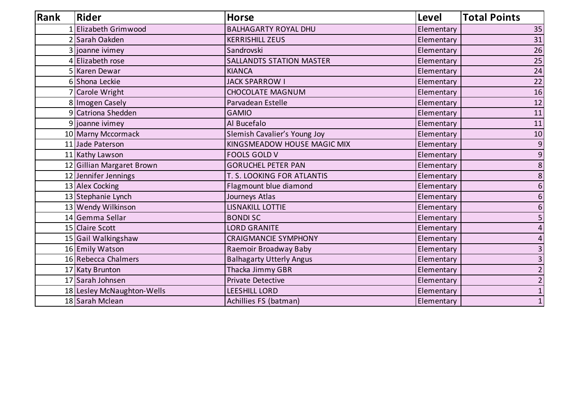| Rank | <b>Rider</b>               | <b>Horse</b>                    | <b>Level</b> | <b>Total Points</b> |
|------|----------------------------|---------------------------------|--------------|---------------------|
|      | 1 Elizabeth Grimwood       | <b>BALHAGARTY ROYAL DHU</b>     | Elementary   | 35                  |
|      | 2 Sarah Oakden             | <b>KERRISHILL ZEUS</b>          | Elementary   | 31                  |
|      | 3 joanne ivimey            | Sandrovski                      | Elementary   | 26                  |
|      | 4 Elizabeth rose           | <b>SALLANDTS STATION MASTER</b> | Elementary   | 25                  |
|      | 5 Karen Dewar              | <b>KIANCA</b>                   | Elementary   | 24                  |
|      | 6 Shona Leckie             | <b>JACK SPARROW I</b>           | Elementary   | 22                  |
|      | 7 Carole Wright            | <b>CHOCOLATE MAGNUM</b>         | Elementary   | 16                  |
|      | 8 Imogen Casely            | Parvadean Estelle               | Elementary   | 12                  |
|      | 9 Catriona Shedden         | <b>GAMIO</b>                    | Elementary   | 11                  |
|      | 9 joanne ivimey            | Al Bucefalo                     | Elementary   | 11                  |
|      | 10 Marny Mccormack         | Slemish Cavalier's Young Joy    | Elementary   | 10                  |
|      | 11 Jade Paterson           | KINGSMEADOW HOUSE MAGIC MIX     | Elementary   | $\boldsymbol{9}$    |
|      | 11 Kathy Lawson            | <b>FOOLS GOLD V</b>             | Elementary   | $\overline{9}$      |
|      | 12 Gillian Margaret Brown  | <b>GORUCHEL PETER PAN</b>       | Elementary   | $\bf 8$             |
|      | 12 Jennifer Jennings       | T. S. LOOKING FOR ATLANTIS      | Elementary   | $\overline{8}$      |
|      | 13 Alex Cocking            | Flagmount blue diamond          | Elementary   | 6                   |
|      | 13 Stephanie Lynch         | Journeys Atlas                  | Elementary   | 6                   |
|      | 13 Wendy Wilkinson         | <b>LISNAKILL LOTTIE</b>         | Elementary   | 6                   |
|      | 14 Gemma Sellar            | <b>BONDISC</b>                  | Elementary   | 5                   |
|      | 15 Claire Scott            | <b>LORD GRANITE</b>             | Elementary   | 4                   |
|      | 15 Gail Walkingshaw        | <b>CRAIGMANCIE SYMPHONY</b>     | Elementary   | 4                   |
|      | 16 Emily Watson            | Raemoir Broadway Baby           | Elementary   | 3                   |
|      | 16 Rebecca Chalmers        | <b>Balhagarty Utterly Angus</b> | Elementary   | 3                   |
|      | 17 Katy Brunton            | Thacka Jimmy GBR                | Elementary   | $\overline{2}$      |
|      | 17 Sarah Johnsen           | <b>Private Detective</b>        | Elementary   | $\overline{2}$      |
|      | 18 Lesley McNaughton-Wells | <b>LEESHILL LORD</b>            | Elementary   | $\mathbf 1$         |
|      | 18 Sarah Mclean            | Achillies FS (batman)           | Elementary   | $\mathbf{1}$        |